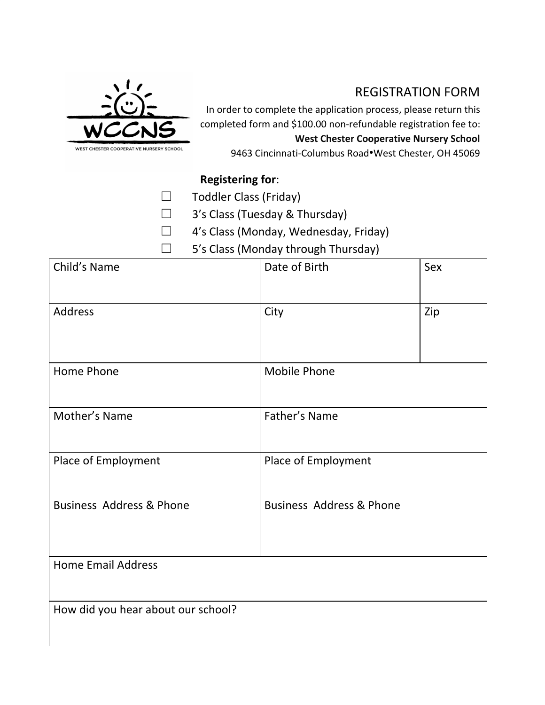

## REGISTRATION FORM

In order to complete the application process, please return this completed form and \$100.00 non-refundable registration fee to: **West Chester Cooperative Nursery School** 9463 Cincinnati-Columbus Road•West Chester, OH 45069

## **Registering for**:

- ☐ Toddler Class (Friday)
- ☐ 3's Class (Tuesday & Thursday)
- ☐ 4's Class (Monday, Wednesday, Friday)
- ☐ 5's Class (Monday through Thursday)

| Child's Name                        | Date of Birth                       | Sex |
|-------------------------------------|-------------------------------------|-----|
| <b>Address</b>                      | City                                | Zip |
|                                     |                                     |     |
| Home Phone                          | Mobile Phone                        |     |
|                                     |                                     |     |
| Mother's Name                       | Father's Name                       |     |
| Place of Employment                 | Place of Employment                 |     |
| <b>Business Address &amp; Phone</b> | <b>Business Address &amp; Phone</b> |     |
| <b>Home Email Address</b>           |                                     |     |
| How did you hear about our school?  |                                     |     |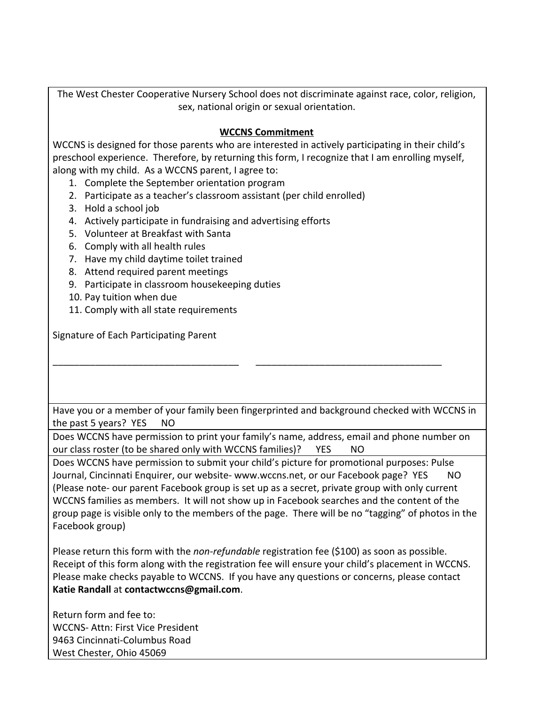The West Chester Cooperative Nursery School does not discriminate against race, color, religion, sex, national origin or sexual orientation.

## **WCCNS Commitment**

WCCNS is designed for those parents who are interested in actively participating in their child's preschool experience. Therefore, by returning this form, I recognize that I am enrolling myself, along with my child. As a WCCNS parent, I agree to:

- 1. Complete the September orientation program
- 2. Participate as a teacher's classroom assistant (per child enrolled)
- 3. Hold a school job
- 4. Actively participate in fundraising and advertising efforts
- 5. Volunteer at Breakfast with Santa
- 6. Comply with all health rules
- 7. Have my child daytime toilet trained
- 8. Attend required parent meetings
- 9. Participate in classroom housekeeping duties
- 10. Pay tuition when due
- 11. Comply with all state requirements

Signature of Each Participating Parent

Have you or a member of your family been fingerprinted and background checked with WCCNS in the past 5 years? YES NO

\_\_\_\_\_\_\_\_\_\_\_\_\_\_\_\_\_\_\_\_\_\_\_\_\_\_\_\_\_\_\_\_\_\_\_ \_\_\_\_\_\_\_\_\_\_\_\_\_\_\_\_\_\_\_\_\_\_\_\_\_\_\_\_\_\_\_\_\_\_\_

Does WCCNS have permission to print your family's name, address, email and phone number on our class roster (to be shared only with WCCNS families)? YES NO

Does WCCNS have permission to submit your child's picture for promotional purposes: Pulse Journal, Cincinnati Enquirer, our website- www.wccns.net, or our Facebook page? YES NO (Please note- our parent Facebook group is set up as a secret, private group with only current WCCNS families as members. It will not show up in Facebook searches and the content of the group page is visible only to the members of the page. There will be no "tagging" of photos in the Facebook group)

Please return this form with the *non-refundable* registration fee (\$100) as soon as possible. Receipt of this form along with the registration fee will ensure your child's placement in WCCNS. Please make checks payable to WCCNS. If you have any questions or concerns, please contact **Katie Randall** at **contactwccns@gmail.com**.

Return form and fee to: WCCNS- Attn: First Vice President 9463 Cincinnati-Columbus Road West Chester, Ohio 45069